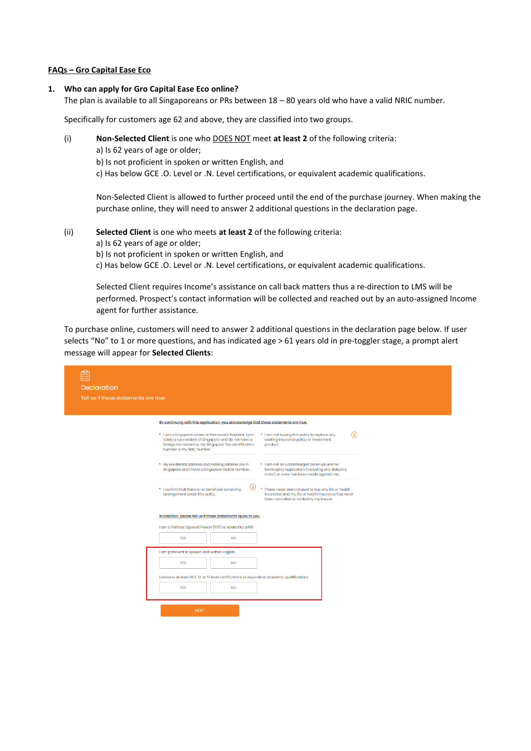#### **FAQs – Gro Capital Ease Eco**

#### **1. Who can apply for Gro Capital Ease Eco online?**

The plan is available to all Singaporeans or PRs between 18 – 80 years old who have a valid NRIC number.

Specifically for customers age 62 and above, they are classified into two groups.

- (i) **Non-Selected Client** is one who DOES NOT meet **at least 2** of the following criteria:
	- a) Is 62 years of age or older;
	- b) Is not proficient in spoken or written English, and

c) Has below GCE .O. Level or .N. Level certifications, or equivalent academic qualifications.

Non-Selected Client is allowed to further proceed until the end of the purchase journey. When making the purchase online, they will need to answer 2 additional questions in the declaration page.

### (ii) **Selected Client** is one who meets **at least 2** of the following criteria:

- a) Is 62 years of age or older;
- b) Is not proficient in spoken or written English, and
- c) Has below GCE .O. Level or .N. Level certifications, or equivalent academic qualifications.

Selected Client requires Income's assistance on call back matters thus a re-direction to LMS will be performed. Prospect's contact information will be collected and reached out by an auto-assigned Income agent for further assistance.

To purchase online, customers will need to answer 2 additional questions in the declaration page below. If user selects "No" to 1 or more questions, and has indicated age > 61 years old in pre-toggler stage, a prompt alert message will appear for **Selected Clients**:

| <b>Declaration</b>                                                                                                                                                                                                                                                                                           |                   |
|--------------------------------------------------------------------------------------------------------------------------------------------------------------------------------------------------------------------------------------------------------------------------------------------------------------|-------------------|
| Tell us if these statements are true                                                                                                                                                                                                                                                                         |                   |
| By continuing with this application, you acknowledge that these statements are true.                                                                                                                                                                                                                         |                   |
| * I am a Singapore citizen or Permanent Resident. I am<br>. I am not buying this policy to replace any<br>solely a tax resident of Singapore and do not have a<br>existing insurance policy or investment<br>foreign tax residency. My Singapore Tax Identification<br>product.<br>Number is my NRIC number. | $\left( i\right)$ |
| . My residential address and mailing address are in<br>. I am not an undischarged bankrupt and no<br>Singapore and I have a Singapore mobile number.<br>bankruptcy application (including any statutory<br>order) or order has been made against me.                                                         |                   |
| $\left( i\right)$<br>. I have never been refused to buy any life or health<br>* I confirm that there is no beneficial ownership<br>insurance and my life or health insurance has never<br>arrangement under this policy.<br>been cancelled or voided by my insurer.                                          |                   |
| In addition, please tell us if these statements apply to you.                                                                                                                                                                                                                                                |                   |
| I am a Political Exposed Person (PEP) or related to a PEP.                                                                                                                                                                                                                                                   |                   |
| <b>YES</b><br><b>NO</b>                                                                                                                                                                                                                                                                                      |                   |
| I am proficient in spoken and written English.                                                                                                                                                                                                                                                               |                   |
| <b>YES</b><br><b>NO</b>                                                                                                                                                                                                                                                                                      |                   |
| I possess at least GCE 'O' or 'N' level certifications or equivalent academic qualifications.                                                                                                                                                                                                                |                   |
| <b>YES</b><br><b>NO</b>                                                                                                                                                                                                                                                                                      |                   |
| <b>NEXT</b>                                                                                                                                                                                                                                                                                                  |                   |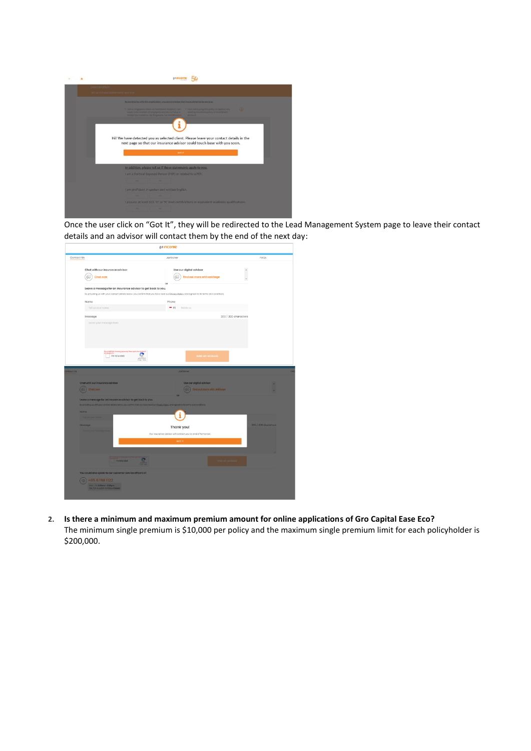

Once the user click on "Got It", they will be redirected to the Lead Management System page to leave their contact details and an advisor will contact them by the end of the next day:

| Contact Us                                                                   | JarGoner                                                                                                                                    | FAOS                 |
|------------------------------------------------------------------------------|---------------------------------------------------------------------------------------------------------------------------------------------|----------------------|
| Chat with our insurance advisor<br>$\circledcirc$<br><b>Chat now</b>         | Use our digital advisor<br>Ġ.<br>Find out more with askSage                                                                                 |                      |
| Leave a message for an insurance advisor to get back to you.                 | OR                                                                                                                                          |                      |
|                                                                              | By providing us with your contact details below, you confirm that you have read our Privacy Palicy, and agreed to its terms and conditions. |                      |
| Name                                                                         | Phone                                                                                                                                       |                      |
| Tell us your name                                                            | Mobile no.<br>$-65$                                                                                                                         |                      |
| Message                                                                      |                                                                                                                                             | 300 / 300 characters |
| Leave your message here.                                                     |                                                                                                                                             |                      |
|                                                                              |                                                                                                                                             |                      |
|                                                                              |                                                                                                                                             |                      |
| l'im not a robot                                                             | <b>SEND MY MESSAGE</b>                                                                                                                      |                      |
|                                                                              |                                                                                                                                             |                      |
|                                                                              | <b>JarDoney</b>                                                                                                                             |                      |
| Chat with our insurance advisor                                              | Use our digital advisor                                                                                                                     |                      |
| Chat now                                                                     | First out more with inkloser                                                                                                                |                      |
| Leave a message for an insurance advisor to get back to you.                 | <b>OR</b>                                                                                                                                   |                      |
|                                                                              | By providing us althypud nettoet metals becau, you confirm that you have need out [those Dates, and agreed to its terms and conditions      |                      |
| Name                                                                         |                                                                                                                                             |                      |
| <b><i><u>Technology Street</u></i></b>                                       |                                                                                                                                             |                      |
| Messupe                                                                      | Thank you!                                                                                                                                  | 300 / 300 characters |
|                                                                              | Our insurance advisor will contact you by end of tomorrow.                                                                                  |                      |
|                                                                              | GOT.IT                                                                                                                                      |                      |
|                                                                              |                                                                                                                                             |                      |
|                                                                              |                                                                                                                                             |                      |
| In rot a room                                                                |                                                                                                                                             |                      |
|                                                                              |                                                                                                                                             |                      |
| You could also speak to our customer service officers at<br>12 +65 6788 1122 |                                                                                                                                             |                      |

**2. Is there a minimum and maximum premium amount for online applications of Gro Capital Ease Eco?** The minimum single premium is \$10,000 per policy and the maximum single premium limit for each policyholder is \$200,000.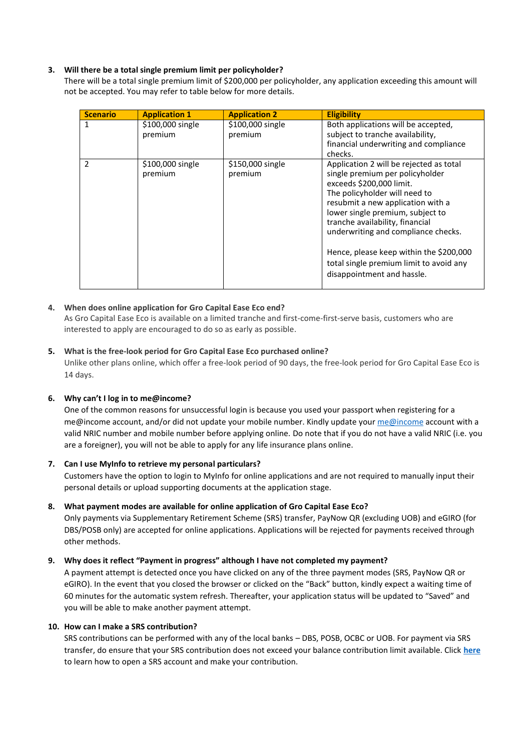# **3. Will there be a total single premium limit per policyholder?**

There will be a total single premium limit of \$200,000 per policyholder, any application exceeding this amount will not be accepted. You may refer to table below for more details.

| <b>Scenario</b> | <b>Application 1</b>        | <b>Application 2</b>        | <b>Eligibility</b>                                                                                                                                                                                                                                                                                                                                                                                             |
|-----------------|-----------------------------|-----------------------------|----------------------------------------------------------------------------------------------------------------------------------------------------------------------------------------------------------------------------------------------------------------------------------------------------------------------------------------------------------------------------------------------------------------|
|                 | \$100,000 single<br>premium | \$100,000 single<br>premium | Both applications will be accepted,<br>subject to tranche availability,<br>financial underwriting and compliance<br>checks.                                                                                                                                                                                                                                                                                    |
| $\mathcal{P}$   | \$100,000 single<br>premium | \$150,000 single<br>premium | Application 2 will be rejected as total<br>single premium per policyholder<br>exceeds \$200,000 limit.<br>The policyholder will need to<br>resubmit a new application with a<br>lower single premium, subject to<br>tranche availability, financial<br>underwriting and compliance checks.<br>Hence, please keep within the \$200,000<br>total single premium limit to avoid any<br>disappointment and hassle. |

# **4. When does online application for Gro Capital Ease Eco end?**

As Gro Capital Ease Eco is available on a limited tranche and first-come-first-serve basis, customers who are interested to apply are encouraged to do so as early as possible.

# **5. What is the free-look period for Gro Capital Ease Eco purchased online?**

Unlike other plans online, which offer a free-look period of 90 days, the free-look period for Gro Capital Ease Eco is 14 days.

# **6. Why can't I log in to me@income?**

One of the common reasons for unsuccessful login is because you used your passport when registering for a [me@income](https://me.income.com.sg/) account, and/or did not update your mobile number. Kindly update your me@income account with a valid NRIC number and mobile number before applying online. Do note that if you do not have a valid NRIC (i.e. you are a foreigner), you will not be able to apply for any life insurance plans online.

# **7. Can I use MyInfo to retrieve my personal particulars?**

Customers have the option to login to MyInfo for online applications and are not required to manually input their personal details or upload supporting documents at the application stage.

# **8. What payment modes are available for online application of Gro Capital Ease Eco?**

Only payments via Supplementary Retirement Scheme (SRS) transfer, PayNow QR (excluding UOB) and eGIRO (for DBS/POSB only) are accepted for online applications. Applications will be rejected for payments received through other methods.

# **9. Why does it reflect "Payment in progress" although I have not completed my payment?**

A payment attempt is detected once you have clicked on any of the three payment modes (SRS, PayNow QR or eGIRO). In the event that you closed the browser or clicked on the "Back" button, kindly expect a waiting time of 60 minutes for the automatic system refresh. Thereafter, your application status will be updated to "Saved" and you will be able to make another payment attempt.

# **10. How can I make a SRS contribution?**

SRS contributions can be performed with any of the local banks – DBS, POSB, OCBC or UOB. For payment via SRS transfer, do ensure that your SRS contribution does not exceed your balance contribution limit available. Click **[here](https://www.income.com.sg/payment/srs-contribution)** to learn how to open a SRS account and make your contribution.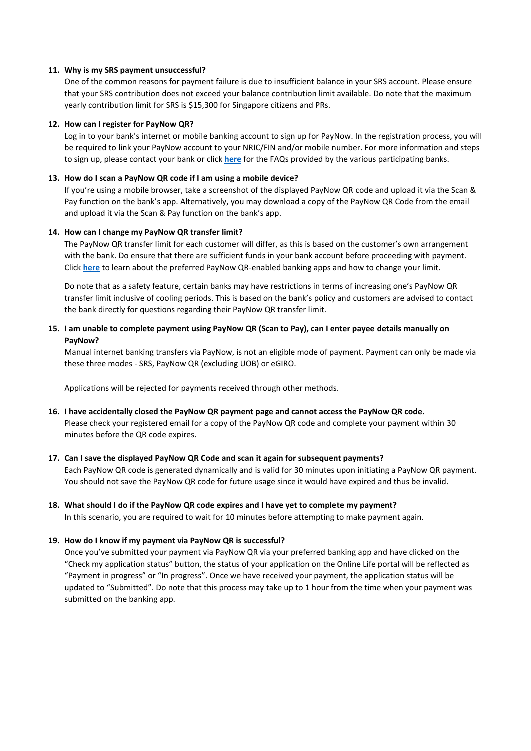### **11. Why is my SRS payment unsuccessful?**

One of the common reasons for payment failure is due to insufficient balance in your SRS account. Please ensure that your SRS contribution does not exceed your balance contribution limit available. Do note that the maximum yearly contribution limit for SRS is \$15,300 for Singapore citizens and PRs.

### **12. How can I register for PayNow QR?**

Log in to your bank's internet or mobile banking account to sign up for PayNow. In the registration process, you will be required to link your PayNow account to your NRIC/FIN and/or mobile number. For more information and steps to sign up, please contact your bank or click **[here](https://www.income.com.sg/payment/register-paynow)** for the FAQs provided by the various participating banks.

### **13. How do I scan a PayNow QR code if I am using a mobile device?**

If you're using a mobile browser, take a screenshot of the displayed PayNow QR code and upload it via the Scan & Pay function on the bank's app. Alternatively, you may download a copy of the PayNow QR Code from the email and upload it via the Scan & Pay function on the bank's app.

### **14. How can I change my PayNow QR transfer limit?**

The PayNow QR transfer limit for each customer will differ, as this is based on the customer's own arrangement with the bank. Do ensure that there are sufficient funds in your bank account before proceeding with payment. Click **[here](https://www.income.com.sg/payment/paynow-qr)** to learn about the preferred PayNow QR-enabled banking apps and how to change your limit.

Do note that as a safety feature, certain banks may have restrictions in terms of increasing one's PayNow QR transfer limit inclusive of cooling periods. This is based on the bank's policy and customers are advised to contact the bank directly for questions regarding their PayNow QR transfer limit.

# **15. I am unable to complete payment using PayNow QR (Scan to Pay), can I enter payee details manually on PayNow?**

Manual internet banking transfers via PayNow, is not an eligible mode of payment. Payment can only be made via these three modes - SRS, PayNow QR (excluding UOB) or eGIRO.

Applications will be rejected for payments received through other methods.

#### **16. I have accidentally closed the PayNow QR payment page and cannot access the PayNow QR code.**

Please check your registered email for a copy of the PayNow QR code and complete your payment within 30 minutes before the QR code expires.

# **17. Can I save the displayed PayNow QR Code and scan it again for subsequent payments?**

Each PayNow QR code is generated dynamically and is valid for 30 minutes upon initiating a PayNow QR payment. You should not save the PayNow QR code for future usage since it would have expired and thus be invalid.

# **18. What should I do if the PayNow QR code expires and I have yet to complete my payment?**

In this scenario, you are required to wait for 10 minutes before attempting to make payment again.

# **19. How do I know if my payment via PayNow QR is successful?**

Once you've submitted your payment via PayNow QR via your preferred banking app and have clicked on the "Check my application status" button, the status of your application on the Online Life portal will be reflected as "Payment in progress" or "In progress". Once we have received your payment, the application status will be updated to "Submitted". Do note that this process may take up to 1 hour from the time when your payment was submitted on the banking app.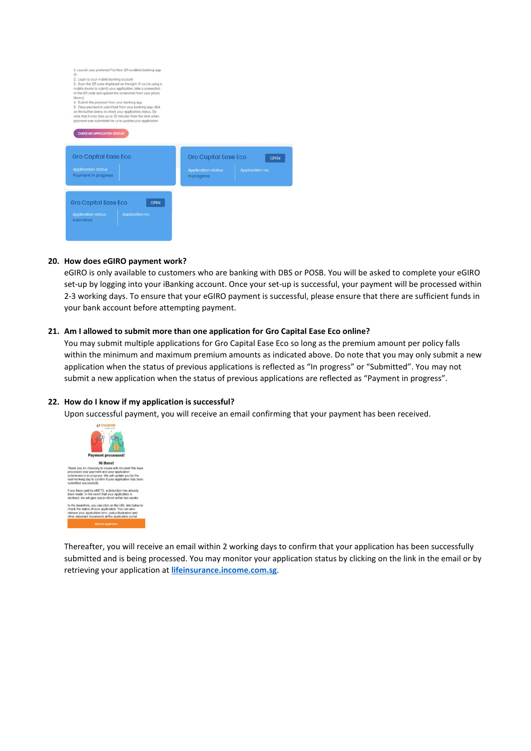

### **20. How does eGIRO payment work?**

eGIRO is only available to customers who are banking with DBS or POSB. You will be asked to complete your eGIRO set-up by logging into your iBanking account. Once your set-up is successful, your payment will be processed within 2-3 working days. To ensure that your eGIRO payment is successful, please ensure that there are sufficient funds in your bank account before attempting payment.

### **21. Am I allowed to submit more than one application for Gro Capital Ease Eco online?**

You may submit multiple applications for Gro Capital Ease Eco so long as the premium amount per policy falls within the minimum and maximum premium amounts as indicated above. Do note that you may only submit a new application when the status of previous applications is reflected as "In progress" or "Submitted". You may not submit a new application when the status of previous applications are reflected as "Payment in progress".

#### **22. How do I know if my application is successful?**

Upon successful payment, you will receive an email confirming that your payment has been received.



Thereafter, you will receive an email within 2 working days to confirm that your application has been successfully submitted and is being processed. You may monitor your application status by clicking on the link in the email or by retrieving your application at **[lifeinsurance.income.com.sg](https://lifeinsurance.income.com.sg/)**.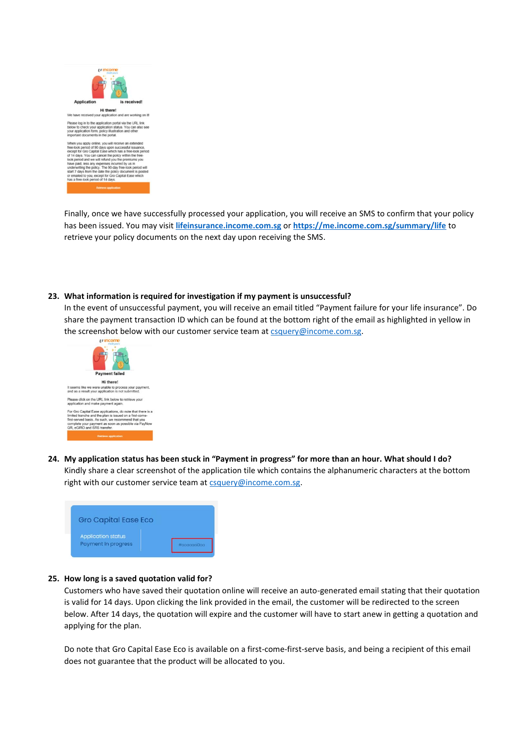

Finally, once we have successfully processed your application, you will receive an SMS to confirm that your policy has been issued. You may visit **[lifeinsurance.income.com.sg](https://lifeinsurance.income.com.sg/)** or **<https://me.income.com.sg/summary/life>** to retrieve your policy documents on the next day upon receiving the SMS.

### **23. What information is required for investigation if my payment is unsuccessful?**

In the event of unsuccessful payment, you will receive an email titled "Payment failure for your life insurance". Do share the payment transaction ID which can be found at the bottom right of the email as highlighted in yellow in the screenshot below with our customer service team at  $\frac{c \text{square}}{Q \text{income}}$ .



**24. My application status has been stuck in "Payment in progress" for more than an hour. What should I do?** Kindly share a clear screenshot of the application tile which contains the alphanumeric characters at the bottom right with our customer service team at [csquery@income.com.sg.](mailto:csquery@income.com.sg)



#### **25. How long is a saved quotation valid for?**

Customers who have saved their quotation online will receive an auto-generated email stating that their quotation is valid for 14 days. Upon clicking the link provided in the email, the customer will be redirected to the screen below. After 14 days, the quotation will expire and the customer will have to start anew in getting a quotation and applying for the plan.

Do note that Gro Capital Ease Eco is available on a first-come-first-serve basis, and being a recipient of this email does not guarantee that the product will be allocated to you.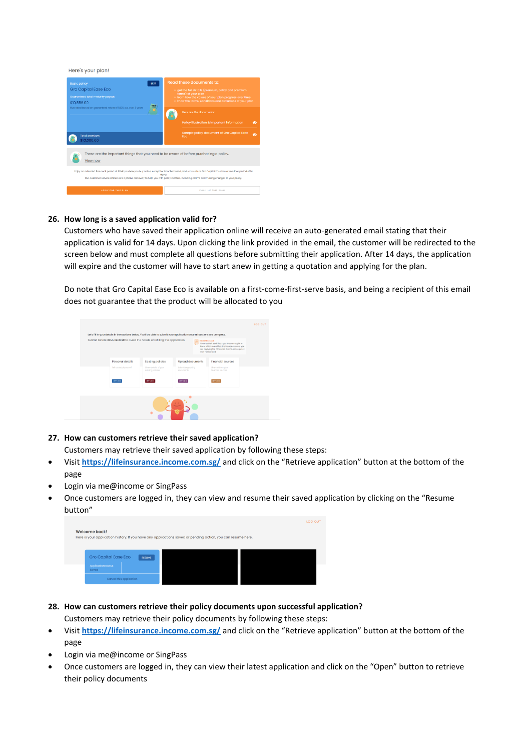

# **26. How long is a saved application valid for?**

Customers who have saved their application online will receive an auto-generated email stating that their application is valid for 14 days. Upon clicking the link provided in the email, the customer will be redirected to the screen below and must complete all questions before submitting their application. After 14 days, the application will expire and the customer will have to start anew in getting a quotation and applying for the plan.

Do note that Gro Capital Ease Eco is available on a first-come-first-serve basis, and being a recipient of this email does not guarantee that the product will be allocated to you



### **27. How can customers retrieve their saved application?**

Customers may retrieve their saved application by following these steps:

- Visit **<https://lifeinsurance.income.com.sg/>** and click on the "Retrieve application" button at the bottom of the page
- Login via me@income or SingPass
- Once customers are logged in, they can view and resume their saved application by clicking on the "Resume button"

|                                    |               |                                                                                                              | LOG OUT |
|------------------------------------|---------------|--------------------------------------------------------------------------------------------------------------|---------|
| <b>Welcome back!</b>               |               | Here is your application history. If you have any applications saved or pending action, you can resume here. |         |
|                                    |               |                                                                                                              |         |
| <b>Gro Capital Ease Eco</b>        | <b>RESUME</b> |                                                                                                              |         |
| <b>Application status</b><br>Saved |               |                                                                                                              |         |
| Cancel this application            |               |                                                                                                              |         |

# **28. How can customers retrieve their policy documents upon successful application?**

Customers may retrieve their policy documents by following these steps:

- Visit **<https://lifeinsurance.income.com.sg/>** and click on the "Retrieve application" button at the bottom of the page
- Login via me@income or SingPass
- Once customers are logged in, they can view their latest application and click on the "Open" button to retrieve their policy documents